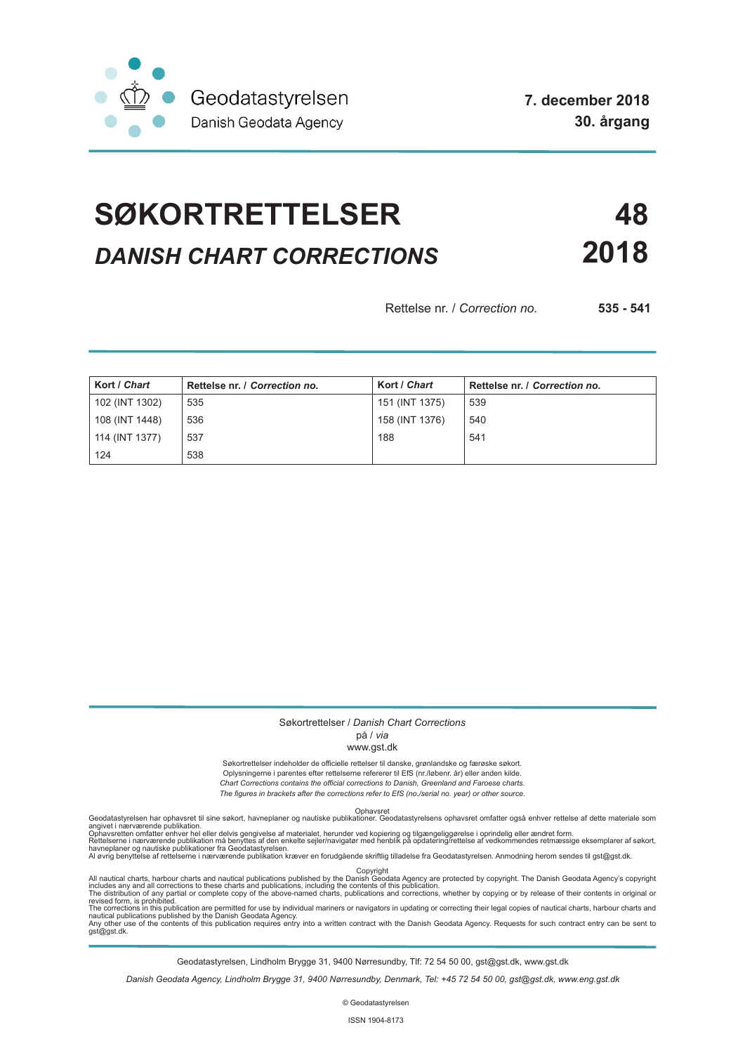

# **SØKORTRETTELSER 48** *DANISH CHART CORRECTIONS* **2018**

Rettelse nr. / *Correction no.* **535 - 541**

| Kort / Chart   | Rettelse nr. / Correction no. | Kort / Chart   | Rettelse nr. / Correction no. |
|----------------|-------------------------------|----------------|-------------------------------|
| 102 (INT 1302) | 535                           | 151 (INT 1375) | 539                           |
| 108 (INT 1448) | 536                           | 158 (INT 1376) | 540                           |
| 114 (INT 1377) | 537                           | 188            | 541                           |
| 124            | 538                           |                |                               |

### Søkortrettelser / *Danish Chart Corrections*

# på / *via*

#### www.gst.dk

Søkortrettelser indeholder de officielle rettelser til danske, grønlandske og færøske søkort. Oplysningerne i parentes efter rettelserne refererer til EfS (nr./løbenr. år) eller anden kilde. *Chart Corrections contains the official corrections to Danish, Greenland and Faroese charts. The figures in brackets after the corrections refer to EfS (no./serial no. year) or other source.*

Ophavsret Geodatastyrelsen har ophavsret til sine søkort, havneplaner og nautiske publikationer. Geodatastyrelsens ophavsret omfatter også enhver rettelse af dette materiale som

angivet i nærværende publikation.<br>Ophavsretten omfatter enhver hel eller delvis gengivelse af materialet, herunder ved kopiering og tilgængeliggørelse i oprindelig eller ændret form.<br>Rettelserne i nærværende publikation må

All nautical charts, harbour charts and nautical publications published by the Dopyright<br>includes any and all corrections to these charts and publications, including the contents of this publication.<br>The distribution of an

Geodatastyrelsen, Lindholm Brygge 31, 9400 Nørresundby, Tlf: 72 54 50 00, gst@gst.dk, www.gst.dk

*Danish Geodata Agency, Lindholm Brygge 31, 9400 Nørresundby, Denmark, Tel: +45 72 54 50 00, gst@gst.dk, www.eng.gst.dk*

© Geodatastyrelsen

ISSN 1904-8173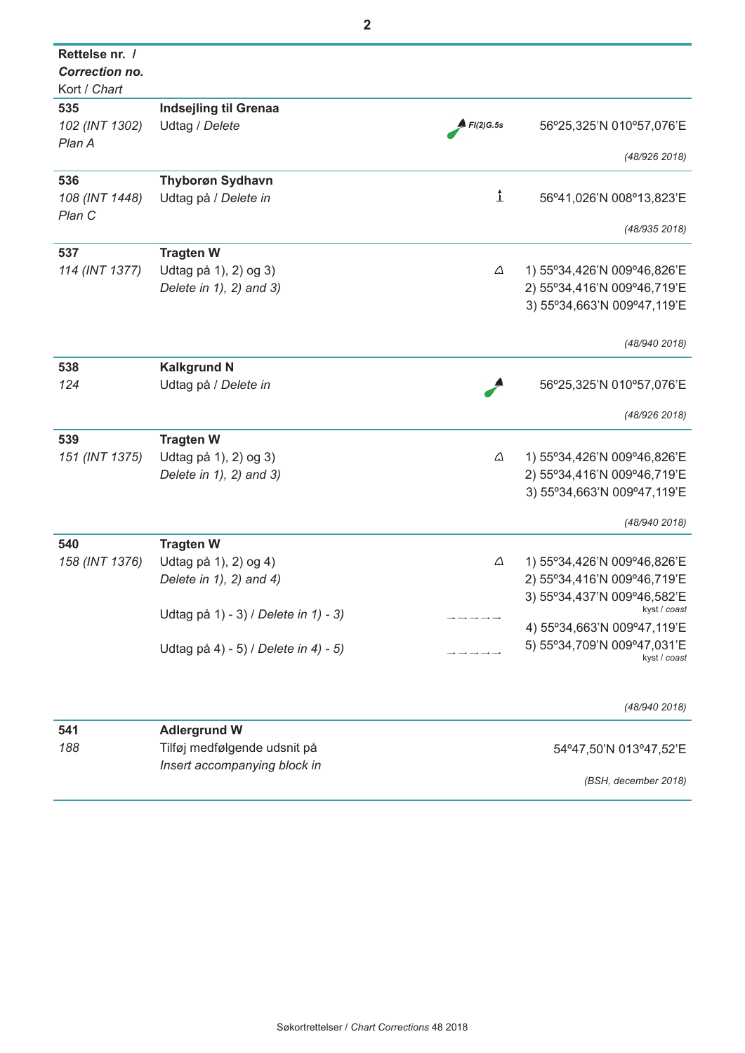| Rettelse nr. /<br>Correction no.<br>Kort / Chart |                                      |           |                             |
|--------------------------------------------------|--------------------------------------|-----------|-----------------------------|
| 535                                              | <b>Indsejling til Grenaa</b>         |           |                             |
| 102 (INT 1302)<br>Plan A                         | Udtag / Delete                       | FI(2)G.5s | 56°25,325'N 010°57,076'E    |
|                                                  |                                      |           | (48/926 2018)               |
| 536                                              | <b>Thyborøn Sydhavn</b>              |           |                             |
| 108 (INT 1448)<br>Plan C                         | Udtag på / Delete in                 | ↨         | 56°41,026'N 008°13,823'E    |
|                                                  |                                      |           | (48/935 2018)               |
| 537                                              | <b>Tragten W</b>                     |           |                             |
| 114 (INT 1377)                                   | Udtag på 1), 2) og 3)                | Δ         | 1) 55°34,426'N 009°46,826'E |
|                                                  | Delete in 1), 2) and 3)              |           | 2) 55°34,416'N 009°46,719'E |
|                                                  |                                      |           | 3) 55°34,663'N 009°47,119'E |
|                                                  |                                      |           | (48/940 2018)               |
| 538                                              | <b>Kalkgrund N</b>                   |           |                             |
| 124                                              | Udtag på / Delete in                 |           | 56°25,325'N 010°57,076'E    |
|                                                  |                                      |           |                             |
|                                                  |                                      |           | (48/926 2018)               |
| 539                                              | <b>Tragten W</b>                     |           |                             |
| 151 (INT 1375)                                   | Udtag på 1), 2) og 3)                | $\Delta$  | 1) 55°34,426'N 009°46,826'E |
|                                                  | Delete in $1$ , $2$ ) and $3$ )      |           | 2) 55°34,416'N 009°46,719'E |
|                                                  |                                      |           | 3) 55°34,663'N 009°47,119'E |
|                                                  |                                      |           | (48/940 2018)               |
| 540                                              | <b>Tragten W</b>                     |           |                             |
| 158 (INT 1376)                                   | Udtag på 1), 2) og 4)                | Δ         | 1) 55°34,426'N 009°46,826'E |
|                                                  | Delete in $1$ , $2$ ) and $4$ )      |           | 2) 55°34,416'N 009°46,719'E |
|                                                  |                                      |           | 3) 55°34,437'N 009°46,582'E |
|                                                  | Udtag på 1) - 3) / Delete in 1) - 3) |           | kyst / coast                |
|                                                  |                                      |           | 4) 55°34,663'N 009°47,119'E |
|                                                  | Udtag på 4) - 5) / Delete in 4) - 5) |           | 5) 55°34,709'N 009°47,031'E |
|                                                  |                                      |           | kyst / coast                |
|                                                  |                                      |           | (48/940 2018)               |
| 541                                              | <b>Adlergrund W</b>                  |           |                             |
| 188                                              | Tilføj medfølgende udsnit på         |           | 54°47,50'N 013°47,52'E      |
|                                                  | Insert accompanying block in         |           |                             |
|                                                  |                                      |           | (BSH, december 2018)        |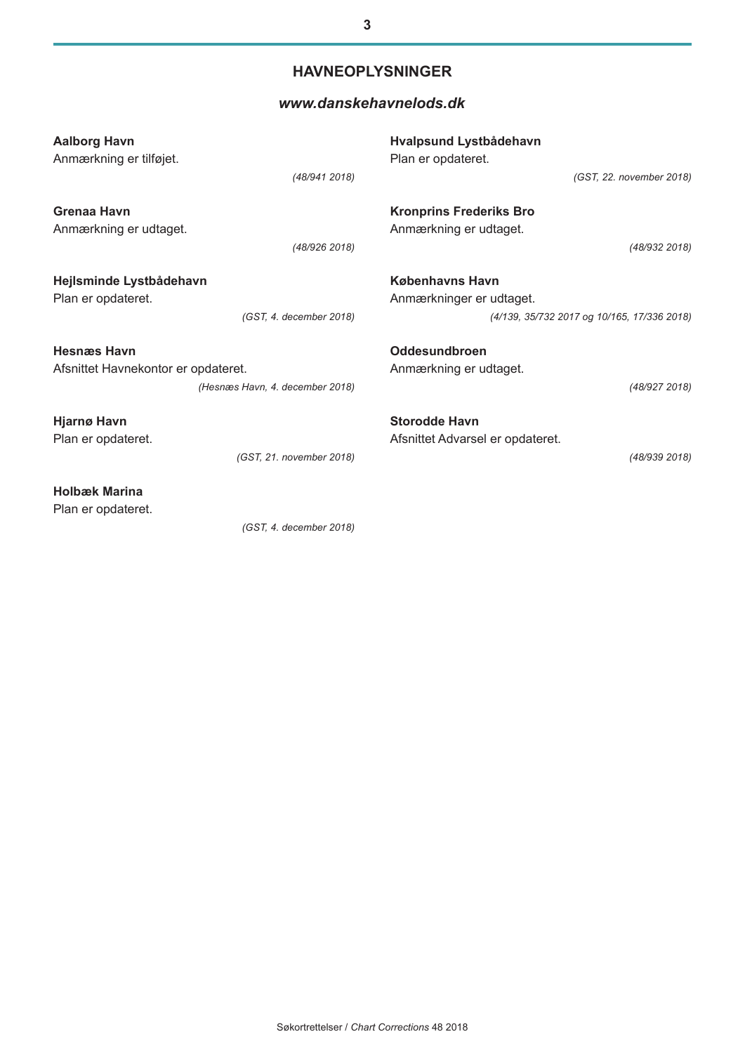# **HAVNEOPLYSNINGER**

# *[www.danskehavnelods.dk](http://www.danskehavnelods.dk/)*

| <b>Aalborg Havn</b><br>Anmærkning er tilføjet. |                                 | Hvalpsund Lystbådehavn<br>Plan er opdateret.                                                      |  |  |
|------------------------------------------------|---------------------------------|---------------------------------------------------------------------------------------------------|--|--|
|                                                | (48/941 2018)                   | (GST, 22. november 2018)                                                                          |  |  |
| Grenaa Havn<br>Anmærkning er udtaget.          |                                 | <b>Kronprins Frederiks Bro</b><br>Anmærkning er udtaget.                                          |  |  |
|                                                | (48/926 2018)                   | (48/932 2018)                                                                                     |  |  |
| Hejlsminde Lystbådehavn<br>Plan er opdateret.  | (GST, 4. december 2018)         | <b>Københavns Havn</b><br>Anmærkninger er udtaget.<br>(4/139, 35/732 2017 og 10/165, 17/336 2018) |  |  |
| <b>Hesnæs Havn</b>                             |                                 | Oddesundbroen                                                                                     |  |  |
| Afsnittet Havnekontor er opdateret.            |                                 | Anmærkning er udtaget.                                                                            |  |  |
|                                                | (Hesnæs Havn, 4. december 2018) | (48/927 2018)                                                                                     |  |  |
| <b>Hjarnø Havn</b>                             |                                 | <b>Storodde Havn</b>                                                                              |  |  |
| Plan er opdateret.                             |                                 | Afsnittet Advarsel er opdateret.                                                                  |  |  |
|                                                | (GST, 21. november 2018)        | (48/939 2018)                                                                                     |  |  |
| <b>Holbæk Marina</b>                           |                                 |                                                                                                   |  |  |
| Plan er opdateret.                             |                                 |                                                                                                   |  |  |

*(GST, 4. december 2018)*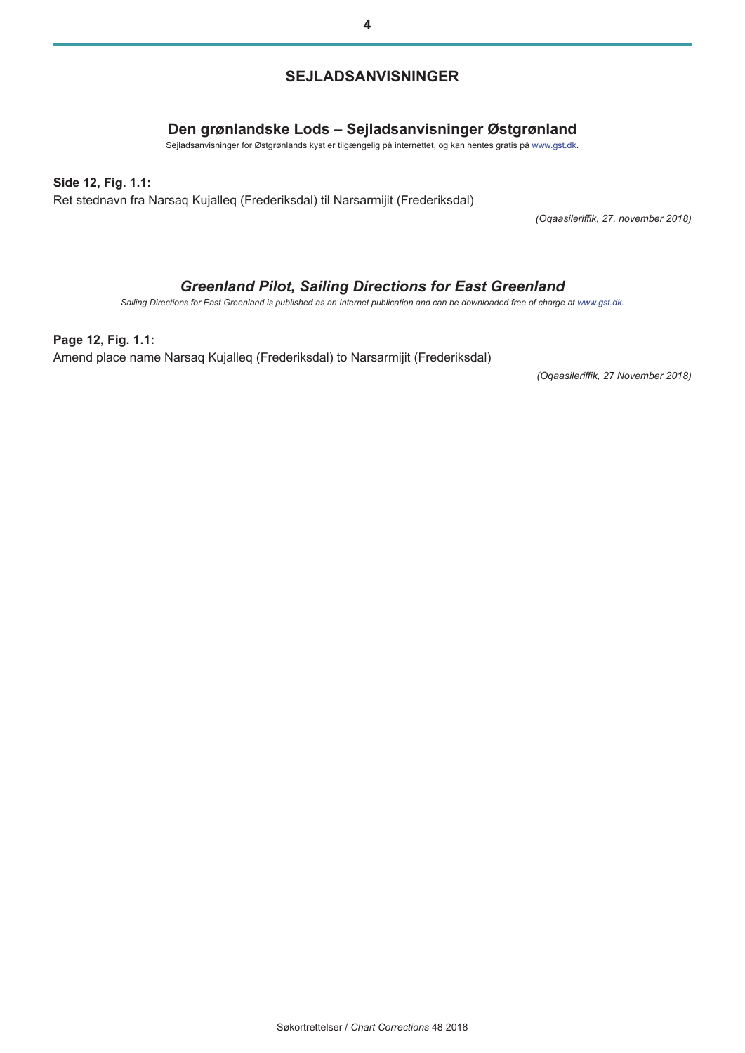# **SEJLADSANVISNINGER**

# **Den grønlandske Lods – Sejladsanvisninger Østgrønland**

Sejladsanvisninger for Østgrønlands kyst er tilgængelig på internettet, og kan hentes gratis på [www.gst.dk.](http://gst.dk/)

#### **Side 12, Fig. 1.1:**

Ret stednavn fra Narsaq Kujalleq (Frederiksdal) til Narsarmijit (Frederiksdal)

*(Oqaasileriffik, 27. november 2018)*

# *Greenland Pilot, Sailing Directions for East Greenland*

*Sailing Directions for East Greenland is published as an Internet publication and can be downloaded free of charge at [www.gst.dk.](http://gst.dk/)*

## **Page 12, Fig. 1.1:**

Amend place name Narsaq Kujalleq (Frederiksdal) to Narsarmijit (Frederiksdal)

*(Oqaasileriffik, 27 November 2018)*